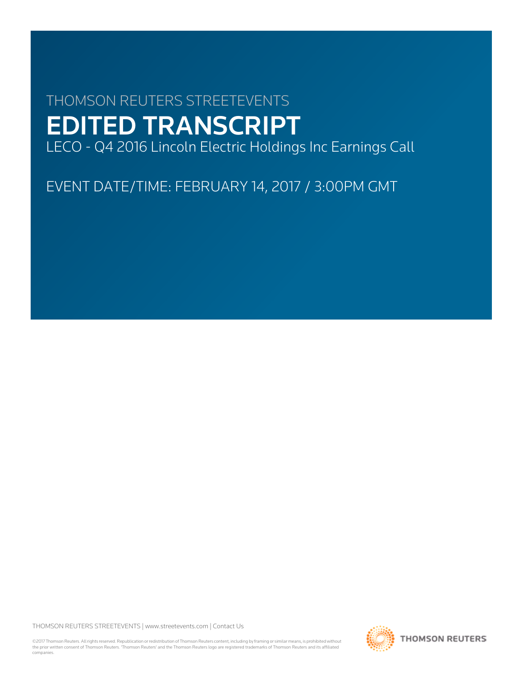# THOMSON REUTERS STREETEVENTS EDITED TRANSCRIPT

LECO - Q4 2016 Lincoln Electric Holdings Inc Earnings Call

EVENT DATE/TIME: FEBRUARY 14, 2017 / 3:00PM GMT

THOMSON REUTERS STREETEVENTS | [www.streetevents.com](http://www.streetevents.com) | [Contact Us](http://www010.streetevents.com/contact.asp)

©2017 Thomson Reuters. All rights reserved. Republication or redistribution of Thomson Reuters content, including by framing or similar means, is prohibited without the prior written consent of Thomson Reuters. 'Thomson Reuters' and the Thomson Reuters logo are registered trademarks of Thomson Reuters and its affiliated companies.

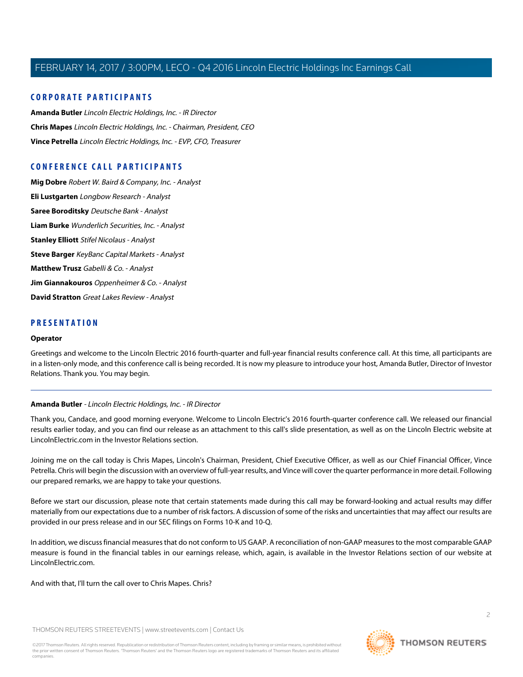### **CORPORATE PARTICIPANTS**

**[Amanda Butler](#page-1-0)** Lincoln Electric Holdings, Inc. - IR Director **[Chris Mapes](#page-2-0)** Lincoln Electric Holdings, Inc. - Chairman, President, CEO **[Vince Petrella](#page-3-0)** Lincoln Electric Holdings, Inc. - EVP, CFO, Treasurer

### **CONFERENCE CALL PARTICIPANTS**

**[Mig Dobre](#page-4-0)** Robert W. Baird & Company, Inc. - Analyst **[Eli Lustgarten](#page-5-0)** Longbow Research - Analyst **[Saree Boroditsky](#page-7-0)** Deutsche Bank - Analyst **[Liam Burke](#page-8-0)** Wunderlich Securities, Inc. - Analyst **[Stanley Elliott](#page-9-0)** Stifel Nicolaus - Analyst **[Steve Barger](#page-10-0)** KeyBanc Capital Markets - Analyst **[Matthew Trusz](#page-12-0)** Gabelli & Co. - Analyst **[Jim Giannakouros](#page-12-1)** Oppenheimer & Co. - Analyst **[David Stratton](#page-13-0)** Great Lakes Review - Analyst

### **PRESENTATION**

### **Operator**

<span id="page-1-0"></span>Greetings and welcome to the Lincoln Electric 2016 fourth-quarter and full-year financial results conference call. At this time, all participants are in a listen-only mode, and this conference call is being recorded. It is now my pleasure to introduce your host, Amanda Butler, Director of Investor Relations. Thank you. You may begin.

### **Amanda Butler** - Lincoln Electric Holdings, Inc. - IR Director

Thank you, Candace, and good morning everyone. Welcome to Lincoln Electric's 2016 fourth-quarter conference call. We released our financial results earlier today, and you can find our release as an attachment to this call's slide presentation, as well as on the Lincoln Electric website at LincolnElectric.com in the Investor Relations section.

Joining me on the call today is Chris Mapes, Lincoln's Chairman, President, Chief Executive Officer, as well as our Chief Financial Officer, Vince Petrella. Chris will begin the discussion with an overview of full-year results, and Vince will cover the quarter performance in more detail. Following our prepared remarks, we are happy to take your questions.

Before we start our discussion, please note that certain statements made during this call may be forward-looking and actual results may differ materially from our expectations due to a number of risk factors. A discussion of some of the risks and uncertainties that may affect our results are provided in our press release and in our SEC filings on Forms 10-K and 10-Q.

In addition, we discuss financial measures that do not conform to US GAAP. A reconciliation of non-GAAP measures to the most comparable GAAP measure is found in the financial tables in our earnings release, which, again, is available in the Investor Relations section of our website at LincolnElectric.com.

And with that, I'll turn the call over to Chris Mapes. Chris?

THOMSON REUTERS STREETEVENTS | [www.streetevents.com](http://www.streetevents.com) | [Contact Us](http://www010.streetevents.com/contact.asp)

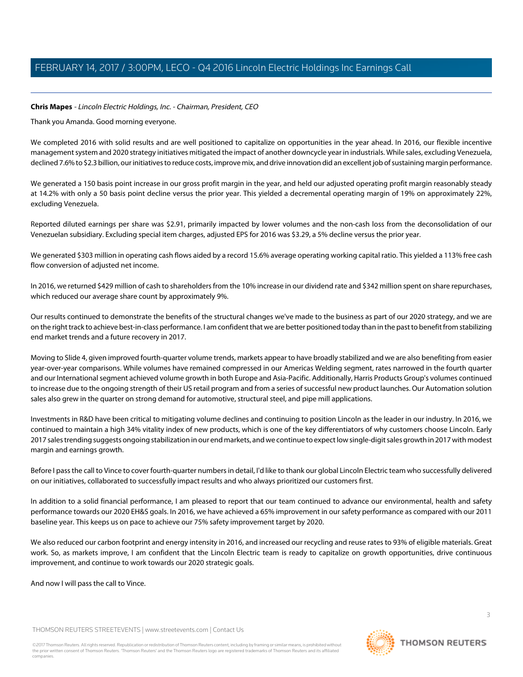### <span id="page-2-0"></span>**Chris Mapes** - Lincoln Electric Holdings, Inc. - Chairman, President, CEO

Thank you Amanda. Good morning everyone.

We completed 2016 with solid results and are well positioned to capitalize on opportunities in the year ahead. In 2016, our flexible incentive management system and 2020 strategy initiatives mitigated the impact of another downcycle year in industrials. While sales, excluding Venezuela, declined 7.6% to \$2.3 billion, our initiatives to reduce costs, improve mix, and drive innovation did an excellent job of sustaining margin performance.

We generated a 150 basis point increase in our gross profit margin in the year, and held our adjusted operating profit margin reasonably steady at 14.2% with only a 50 basis point decline versus the prior year. This yielded a decremental operating margin of 19% on approximately 22%, excluding Venezuela.

Reported diluted earnings per share was \$2.91, primarily impacted by lower volumes and the non-cash loss from the deconsolidation of our Venezuelan subsidiary. Excluding special item charges, adjusted EPS for 2016 was \$3.29, a 5% decline versus the prior year.

We generated \$303 million in operating cash flows aided by a record 15.6% average operating working capital ratio. This yielded a 113% free cash flow conversion of adjusted net income.

In 2016, we returned \$429 million of cash to shareholders from the 10% increase in our dividend rate and \$342 million spent on share repurchases, which reduced our average share count by approximately 9%.

Our results continued to demonstrate the benefits of the structural changes we've made to the business as part of our 2020 strategy, and we are on the right track to achieve best-in-class performance. I am confident that we are better positioned today than in the past to benefit from stabilizing end market trends and a future recovery in 2017.

Moving to Slide 4, given improved fourth-quarter volume trends, markets appear to have broadly stabilized and we are also benefiting from easier year-over-year comparisons. While volumes have remained compressed in our Americas Welding segment, rates narrowed in the fourth quarter and our International segment achieved volume growth in both Europe and Asia-Pacific. Additionally, Harris Products Group's volumes continued to increase due to the ongoing strength of their US retail program and from a series of successful new product launches. Our Automation solution sales also grew in the quarter on strong demand for automotive, structural steel, and pipe mill applications.

Investments in R&D have been critical to mitigating volume declines and continuing to position Lincoln as the leader in our industry. In 2016, we continued to maintain a high 34% vitality index of new products, which is one of the key differentiators of why customers choose Lincoln. Early 2017 sales trending suggests ongoing stabilization in our end markets, and we continue to expect low single-digit sales growth in 2017 with modest margin and earnings growth.

Before I pass the call to Vince to cover fourth-quarter numbers in detail, I'd like to thank our global Lincoln Electric team who successfully delivered on our initiatives, collaborated to successfully impact results and who always prioritized our customers first.

In addition to a solid financial performance, I am pleased to report that our team continued to advance our environmental, health and safety performance towards our 2020 EH&S goals. In 2016, we have achieved a 65% improvement in our safety performance as compared with our 2011 baseline year. This keeps us on pace to achieve our 75% safety improvement target by 2020.

We also reduced our carbon footprint and energy intensity in 2016, and increased our recycling and reuse rates to 93% of eligible materials. Great work. So, as markets improve, I am confident that the Lincoln Electric team is ready to capitalize on growth opportunities, drive continuous improvement, and continue to work towards our 2020 strategic goals.

And now I will pass the call to Vince.

THOMSON REUTERS STREETEVENTS | [www.streetevents.com](http://www.streetevents.com) | [Contact Us](http://www010.streetevents.com/contact.asp)

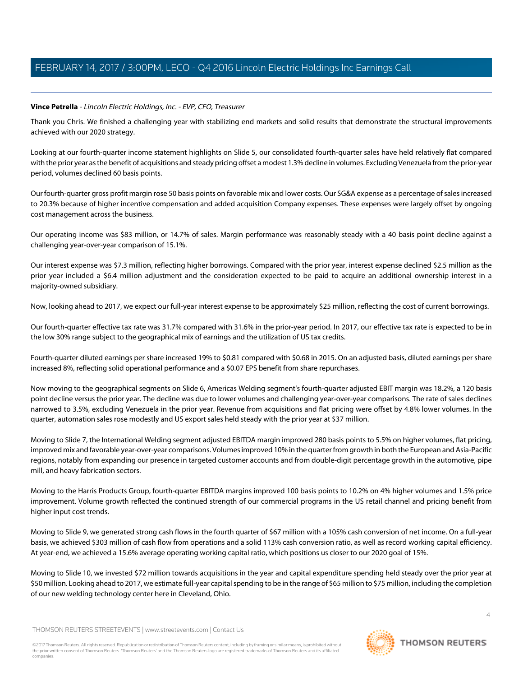### <span id="page-3-0"></span>**Vince Petrella** - Lincoln Electric Holdings, Inc. - EVP, CFO, Treasurer

Thank you Chris. We finished a challenging year with stabilizing end markets and solid results that demonstrate the structural improvements achieved with our 2020 strategy.

Looking at our fourth-quarter income statement highlights on Slide 5, our consolidated fourth-quarter sales have held relatively flat compared with the prior year as the benefit of acquisitions and steady pricing offset a modest 1.3% decline in volumes. Excluding Venezuela from the prior-year period, volumes declined 60 basis points.

Our fourth-quarter gross profit margin rose 50 basis points on favorable mix and lower costs. Our SG&A expense as a percentage of sales increased to 20.3% because of higher incentive compensation and added acquisition Company expenses. These expenses were largely offset by ongoing cost management across the business.

Our operating income was \$83 million, or 14.7% of sales. Margin performance was reasonably steady with a 40 basis point decline against a challenging year-over-year comparison of 15.1%.

Our interest expense was \$7.3 million, reflecting higher borrowings. Compared with the prior year, interest expense declined \$2.5 million as the prior year included a \$6.4 million adjustment and the consideration expected to be paid to acquire an additional ownership interest in a majority-owned subsidiary.

Now, looking ahead to 2017, we expect our full-year interest expense to be approximately \$25 million, reflecting the cost of current borrowings.

Our fourth-quarter effective tax rate was 31.7% compared with 31.6% in the prior-year period. In 2017, our effective tax rate is expected to be in the low 30% range subject to the geographical mix of earnings and the utilization of US tax credits.

Fourth-quarter diluted earnings per share increased 19% to \$0.81 compared with \$0.68 in 2015. On an adjusted basis, diluted earnings per share increased 8%, reflecting solid operational performance and a \$0.07 EPS benefit from share repurchases.

Now moving to the geographical segments on Slide 6, Americas Welding segment's fourth-quarter adjusted EBIT margin was 18.2%, a 120 basis point decline versus the prior year. The decline was due to lower volumes and challenging year-over-year comparisons. The rate of sales declines narrowed to 3.5%, excluding Venezuela in the prior year. Revenue from acquisitions and flat pricing were offset by 4.8% lower volumes. In the quarter, automation sales rose modestly and US export sales held steady with the prior year at \$37 million.

Moving to Slide 7, the International Welding segment adjusted EBITDA margin improved 280 basis points to 5.5% on higher volumes, flat pricing, improved mix and favorable year-over-year comparisons. Volumes improved 10% in the quarter from growth in both the European and Asia-Pacific regions, notably from expanding our presence in targeted customer accounts and from double-digit percentage growth in the automotive, pipe mill, and heavy fabrication sectors.

Moving to the Harris Products Group, fourth-quarter EBITDA margins improved 100 basis points to 10.2% on 4% higher volumes and 1.5% price improvement. Volume growth reflected the continued strength of our commercial programs in the US retail channel and pricing benefit from higher input cost trends.

Moving to Slide 9, we generated strong cash flows in the fourth quarter of \$67 million with a 105% cash conversion of net income. On a full-year basis, we achieved \$303 million of cash flow from operations and a solid 113% cash conversion ratio, as well as record working capital efficiency. At year-end, we achieved a 15.6% average operating working capital ratio, which positions us closer to our 2020 goal of 15%.

Moving to Slide 10, we invested \$72 million towards acquisitions in the year and capital expenditure spending held steady over the prior year at \$50 million. Looking ahead to 2017, we estimate full-year capital spending to be in the range of \$65 million to \$75 million, including the completion of our new welding technology center here in Cleveland, Ohio.

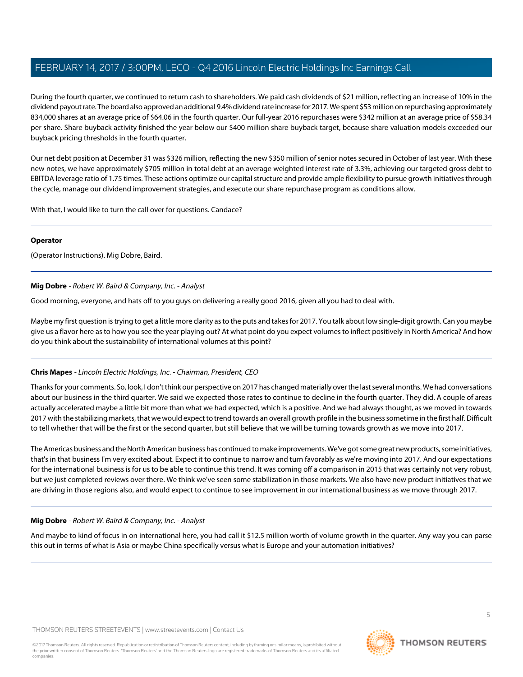During the fourth quarter, we continued to return cash to shareholders. We paid cash dividends of \$21 million, reflecting an increase of 10% in the dividend payout rate. The board also approved an additional 9.4% dividend rate increase for 2017. We spent \$53 million on repurchasing approximately 834,000 shares at an average price of \$64.06 in the fourth quarter. Our full-year 2016 repurchases were \$342 million at an average price of \$58.34 per share. Share buyback activity finished the year below our \$400 million share buyback target, because share valuation models exceeded our buyback pricing thresholds in the fourth quarter.

Our net debt position at December 31 was \$326 million, reflecting the new \$350 million of senior notes secured in October of last year. With these new notes, we have approximately \$705 million in total debt at an average weighted interest rate of 3.3%, achieving our targeted gross debt to EBITDA leverage ratio of 1.75 times. These actions optimize our capital structure and provide ample flexibility to pursue growth initiatives through the cycle, manage our dividend improvement strategies, and execute our share repurchase program as conditions allow.

With that, I would like to turn the call over for questions. Candace?

### **Operator**

<span id="page-4-0"></span>(Operator Instructions). Mig Dobre, Baird.

### **Mig Dobre** - Robert W. Baird & Company, Inc. - Analyst

Good morning, everyone, and hats off to you guys on delivering a really good 2016, given all you had to deal with.

Maybe my first question is trying to get a little more clarity as to the puts and takes for 2017. You talk about low single-digit growth. Can you maybe give us a flavor here as to how you see the year playing out? At what point do you expect volumes to inflect positively in North America? And how do you think about the sustainability of international volumes at this point?

### **Chris Mapes** - Lincoln Electric Holdings, Inc. - Chairman, President, CEO

Thanks for your comments. So, look, I don't think our perspective on 2017 has changed materially over the last several months. We had conversations about our business in the third quarter. We said we expected those rates to continue to decline in the fourth quarter. They did. A couple of areas actually accelerated maybe a little bit more than what we had expected, which is a positive. And we had always thought, as we moved in towards 2017 with the stabilizing markets, that we would expect to trend towards an overall growth profile in the business sometime in the first half. Difficult to tell whether that will be the first or the second quarter, but still believe that we will be turning towards growth as we move into 2017.

The Americas business and the North American business has continued to make improvements. We've got some great new products, some initiatives, that's in that business I'm very excited about. Expect it to continue to narrow and turn favorably as we're moving into 2017. And our expectations for the international business is for us to be able to continue this trend. It was coming off a comparison in 2015 that was certainly not very robust, but we just completed reviews over there. We think we've seen some stabilization in those markets. We also have new product initiatives that we are driving in those regions also, and would expect to continue to see improvement in our international business as we move through 2017.

### **Mig Dobre** - Robert W. Baird & Company, Inc. - Analyst

And maybe to kind of focus in on international here, you had call it \$12.5 million worth of volume growth in the quarter. Any way you can parse this out in terms of what is Asia or maybe China specifically versus what is Europe and your automation initiatives?

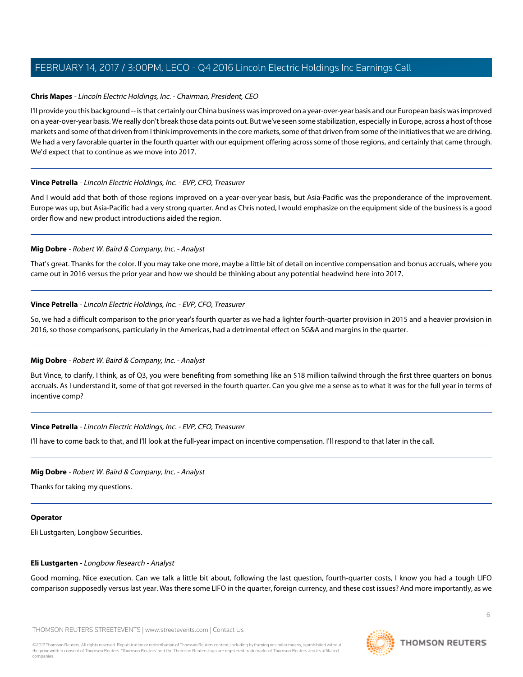### **Chris Mapes** - Lincoln Electric Holdings, Inc. - Chairman, President, CEO

I'll provide you this background -- is that certainly our China business was improved on a year-over-year basis and our European basis was improved on a year-over-year basis. We really don't break those data points out. But we've seen some stabilization, especially in Europe, across a host of those markets and some of that driven from I think improvements in the core markets, some of that driven from some of the initiatives that we are driving. We had a very favorable quarter in the fourth quarter with our equipment offering across some of those regions, and certainly that came through. We'd expect that to continue as we move into 2017.

### **Vince Petrella** - Lincoln Electric Holdings, Inc. - EVP, CFO, Treasurer

And I would add that both of those regions improved on a year-over-year basis, but Asia-Pacific was the preponderance of the improvement. Europe was up, but Asia-Pacific had a very strong quarter. And as Chris noted, I would emphasize on the equipment side of the business is a good order flow and new product introductions aided the region.

### **Mig Dobre** - Robert W. Baird & Company, Inc. - Analyst

That's great. Thanks for the color. If you may take one more, maybe a little bit of detail on incentive compensation and bonus accruals, where you came out in 2016 versus the prior year and how we should be thinking about any potential headwind here into 2017.

### **Vince Petrella** - Lincoln Electric Holdings, Inc. - EVP, CFO, Treasurer

So, we had a difficult comparison to the prior year's fourth quarter as we had a lighter fourth-quarter provision in 2015 and a heavier provision in 2016, so those comparisons, particularly in the Americas, had a detrimental effect on SG&A and margins in the quarter.

### **Mig Dobre** - Robert W. Baird & Company, Inc. - Analyst

But Vince, to clarify, I think, as of Q3, you were benefiting from something like an \$18 million tailwind through the first three quarters on bonus accruals. As I understand it, some of that got reversed in the fourth quarter. Can you give me a sense as to what it was for the full year in terms of incentive comp?

### **Vince Petrella** - Lincoln Electric Holdings, Inc. - EVP, CFO, Treasurer

I'll have to come back to that, and I'll look at the full-year impact on incentive compensation. I'll respond to that later in the call.

### **Mig Dobre** - Robert W. Baird & Company, Inc. - Analyst

Thanks for taking my questions.

### <span id="page-5-0"></span>**Operator**

Eli Lustgarten, Longbow Securities.

### **Eli Lustgarten** - Longbow Research - Analyst

Good morning. Nice execution. Can we talk a little bit about, following the last question, fourth-quarter costs, I know you had a tough LIFO comparison supposedly versus last year. Was there some LIFO in the quarter, foreign currency, and these cost issues? And more importantly, as we

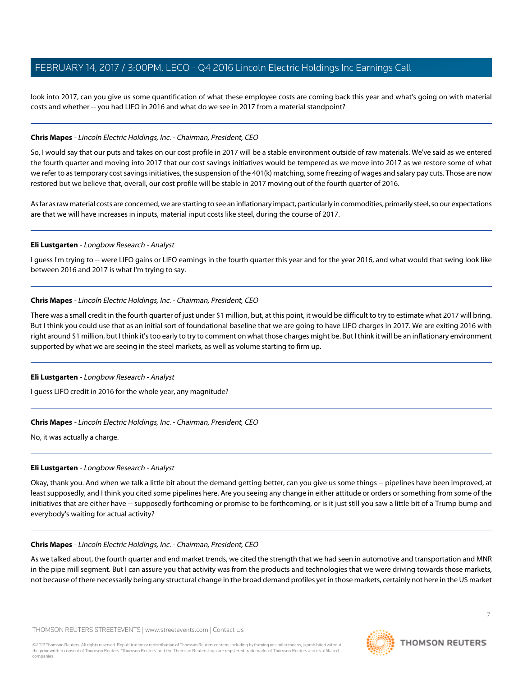look into 2017, can you give us some quantification of what these employee costs are coming back this year and what's going on with material costs and whether -- you had LIFO in 2016 and what do we see in 2017 from a material standpoint?

### **Chris Mapes** - Lincoln Electric Holdings, Inc. - Chairman, President, CEO

So, I would say that our puts and takes on our cost profile in 2017 will be a stable environment outside of raw materials. We've said as we entered the fourth quarter and moving into 2017 that our cost savings initiatives would be tempered as we move into 2017 as we restore some of what we refer to as temporary cost savings initiatives, the suspension of the 401(k) matching, some freezing of wages and salary pay cuts. Those are now restored but we believe that, overall, our cost profile will be stable in 2017 moving out of the fourth quarter of 2016.

As far as raw material costs are concerned, we are starting to see an inflationary impact, particularly in commodities, primarily steel, so our expectations are that we will have increases in inputs, material input costs like steel, during the course of 2017.

### **Eli Lustgarten** - Longbow Research - Analyst

I guess I'm trying to -- were LIFO gains or LIFO earnings in the fourth quarter this year and for the year 2016, and what would that swing look like between 2016 and 2017 is what I'm trying to say.

### **Chris Mapes** - Lincoln Electric Holdings, Inc. - Chairman, President, CEO

There was a small credit in the fourth quarter of just under \$1 million, but, at this point, it would be difficult to try to estimate what 2017 will bring. But I think you could use that as an initial sort of foundational baseline that we are going to have LIFO charges in 2017. We are exiting 2016 with right around \$1 million, but I think it's too early to try to comment on what those charges might be. But I think it will be an inflationary environment supported by what we are seeing in the steel markets, as well as volume starting to firm up.

### **Eli Lustgarten** - Longbow Research - Analyst

I guess LIFO credit in 2016 for the whole year, any magnitude?

### **Chris Mapes** - Lincoln Electric Holdings, Inc. - Chairman, President, CEO

No, it was actually a charge.

### **Eli Lustgarten** - Longbow Research - Analyst

Okay, thank you. And when we talk a little bit about the demand getting better, can you give us some things -- pipelines have been improved, at least supposedly, and I think you cited some pipelines here. Are you seeing any change in either attitude or orders or something from some of the initiatives that are either have -- supposedly forthcoming or promise to be forthcoming, or is it just still you saw a little bit of a Trump bump and everybody's waiting for actual activity?

### **Chris Mapes** - Lincoln Electric Holdings, Inc. - Chairman, President, CEO

As we talked about, the fourth quarter and end market trends, we cited the strength that we had seen in automotive and transportation and MNR in the pipe mill segment. But I can assure you that activity was from the products and technologies that we were driving towards those markets, not because of there necessarily being any structural change in the broad demand profiles yet in those markets, certainly not here in the US market

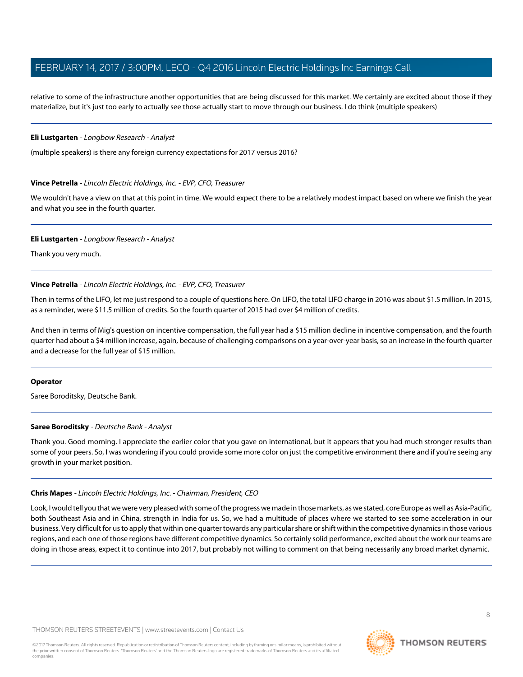relative to some of the infrastructure another opportunities that are being discussed for this market. We certainly are excited about those if they materialize, but it's just too early to actually see those actually start to move through our business. I do think (multiple speakers)

#### **Eli Lustgarten** - Longbow Research - Analyst

(multiple speakers) is there any foreign currency expectations for 2017 versus 2016?

### **Vince Petrella** - Lincoln Electric Holdings, Inc. - EVP, CFO, Treasurer

We wouldn't have a view on that at this point in time. We would expect there to be a relatively modest impact based on where we finish the year and what you see in the fourth quarter.

#### **Eli Lustgarten** - Longbow Research - Analyst

Thank you very much.

### **Vince Petrella** - Lincoln Electric Holdings, Inc. - EVP, CFO, Treasurer

Then in terms of the LIFO, let me just respond to a couple of questions here. On LIFO, the total LIFO charge in 2016 was about \$1.5 million. In 2015, as a reminder, were \$11.5 million of credits. So the fourth quarter of 2015 had over \$4 million of credits.

And then in terms of Mig's question on incentive compensation, the full year had a \$15 million decline in incentive compensation, and the fourth quarter had about a \$4 million increase, again, because of challenging comparisons on a year-over-year basis, so an increase in the fourth quarter and a decrease for the full year of \$15 million.

### <span id="page-7-0"></span>**Operator**

Saree Boroditsky, Deutsche Bank.

### **Saree Boroditsky** - Deutsche Bank - Analyst

Thank you. Good morning. I appreciate the earlier color that you gave on international, but it appears that you had much stronger results than some of your peers. So, I was wondering if you could provide some more color on just the competitive environment there and if you're seeing any growth in your market position.

### **Chris Mapes** - Lincoln Electric Holdings, Inc. - Chairman, President, CEO

Look, I would tell you that we were very pleased with some of the progress we made in those markets, as we stated, core Europe as well as Asia-Pacific, both Southeast Asia and in China, strength in India for us. So, we had a multitude of places where we started to see some acceleration in our business. Very difficult for us to apply that within one quarter towards any particular share or shift within the competitive dynamics in those various regions, and each one of those regions have different competitive dynamics. So certainly solid performance, excited about the work our teams are doing in those areas, expect it to continue into 2017, but probably not willing to comment on that being necessarily any broad market dynamic.

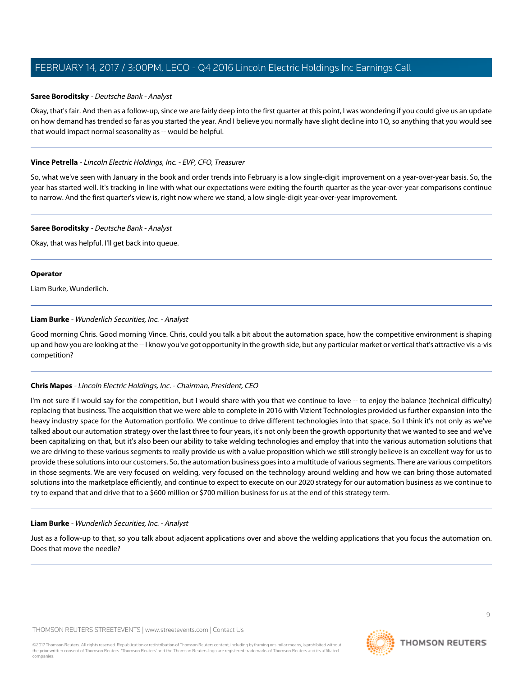### **Saree Boroditsky** - Deutsche Bank - Analyst

Okay, that's fair. And then as a follow-up, since we are fairly deep into the first quarter at this point, I was wondering if you could give us an update on how demand has trended so far as you started the year. And I believe you normally have slight decline into 1Q, so anything that you would see that would impact normal seasonality as -- would be helpful.

### **Vince Petrella** - Lincoln Electric Holdings, Inc. - EVP, CFO, Treasurer

So, what we've seen with January in the book and order trends into February is a low single-digit improvement on a year-over-year basis. So, the year has started well. It's tracking in line with what our expectations were exiting the fourth quarter as the year-over-year comparisons continue to narrow. And the first quarter's view is, right now where we stand, a low single-digit year-over-year improvement.

### **Saree Boroditsky** - Deutsche Bank - Analyst

Okay, that was helpful. I'll get back into queue.

### **Operator**

<span id="page-8-0"></span>Liam Burke, Wunderlich.

### **Liam Burke** - Wunderlich Securities, Inc. - Analyst

Good morning Chris. Good morning Vince. Chris, could you talk a bit about the automation space, how the competitive environment is shaping up and how you are looking at the -- I know you've got opportunity in the growth side, but any particular market or vertical that's attractive vis-a-vis competition?

### **Chris Mapes** - Lincoln Electric Holdings, Inc. - Chairman, President, CEO

I'm not sure if I would say for the competition, but I would share with you that we continue to love -- to enjoy the balance (technical difficulty) replacing that business. The acquisition that we were able to complete in 2016 with Vizient Technologies provided us further expansion into the heavy industry space for the Automation portfolio. We continue to drive different technologies into that space. So I think it's not only as we've talked about our automation strategy over the last three to four years, it's not only been the growth opportunity that we wanted to see and we've been capitalizing on that, but it's also been our ability to take welding technologies and employ that into the various automation solutions that we are driving to these various segments to really provide us with a value proposition which we still strongly believe is an excellent way for us to provide these solutions into our customers. So, the automation business goes into a multitude of various segments. There are various competitors in those segments. We are very focused on welding, very focused on the technology around welding and how we can bring those automated solutions into the marketplace efficiently, and continue to expect to execute on our 2020 strategy for our automation business as we continue to try to expand that and drive that to a \$600 million or \$700 million business for us at the end of this strategy term.

### **Liam Burke** - Wunderlich Securities, Inc. - Analyst

Just as a follow-up to that, so you talk about adjacent applications over and above the welding applications that you focus the automation on. Does that move the needle?

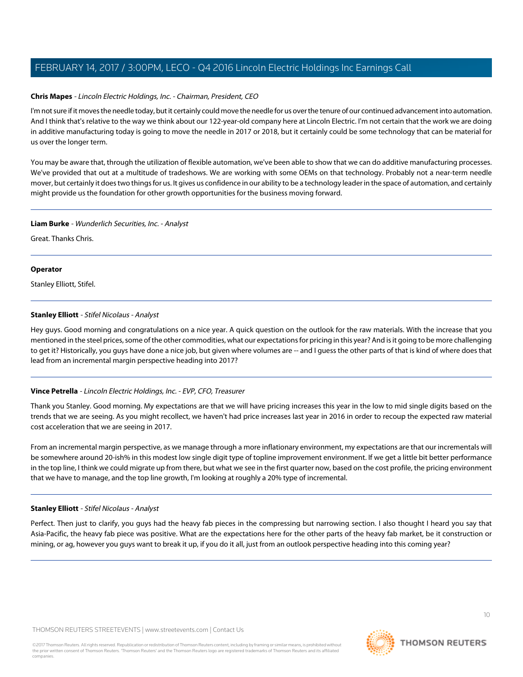### **Chris Mapes** - Lincoln Electric Holdings, Inc. - Chairman, President, CEO

I'm not sure if it moves the needle today, but it certainly could move the needle for us over the tenure of our continued advancement into automation. And I think that's relative to the way we think about our 122-year-old company here at Lincoln Electric. I'm not certain that the work we are doing in additive manufacturing today is going to move the needle in 2017 or 2018, but it certainly could be some technology that can be material for us over the longer term.

You may be aware that, through the utilization of flexible automation, we've been able to show that we can do additive manufacturing processes. We've provided that out at a multitude of tradeshows. We are working with some OEMs on that technology. Probably not a near-term needle mover, but certainly it does two things for us. It gives us confidence in our ability to be a technology leader in the space of automation, and certainly might provide us the foundation for other growth opportunities for the business moving forward.

### **Liam Burke** - Wunderlich Securities, Inc. - Analyst

Great. Thanks Chris.

#### **Operator**

<span id="page-9-0"></span>Stanley Elliott, Stifel.

### **Stanley Elliott** - Stifel Nicolaus - Analyst

Hey guys. Good morning and congratulations on a nice year. A quick question on the outlook for the raw materials. With the increase that you mentioned in the steel prices, some of the other commodities, what our expectations for pricing in this year? And is it going to be more challenging to get it? Historically, you guys have done a nice job, but given where volumes are -- and I guess the other parts of that is kind of where does that lead from an incremental margin perspective heading into 2017?

### **Vince Petrella** - Lincoln Electric Holdings, Inc. - EVP, CFO, Treasurer

Thank you Stanley. Good morning. My expectations are that we will have pricing increases this year in the low to mid single digits based on the trends that we are seeing. As you might recollect, we haven't had price increases last year in 2016 in order to recoup the expected raw material cost acceleration that we are seeing in 2017.

From an incremental margin perspective, as we manage through a more inflationary environment, my expectations are that our incrementals will be somewhere around 20-ish% in this modest low single digit type of topline improvement environment. If we get a little bit better performance in the top line, I think we could migrate up from there, but what we see in the first quarter now, based on the cost profile, the pricing environment that we have to manage, and the top line growth, I'm looking at roughly a 20% type of incremental.

### **Stanley Elliott** - Stifel Nicolaus - Analyst

Perfect. Then just to clarify, you guys had the heavy fab pieces in the compressing but narrowing section. I also thought I heard you say that Asia-Pacific, the heavy fab piece was positive. What are the expectations here for the other parts of the heavy fab market, be it construction or mining, or ag, however you guys want to break it up, if you do it all, just from an outlook perspective heading into this coming year?

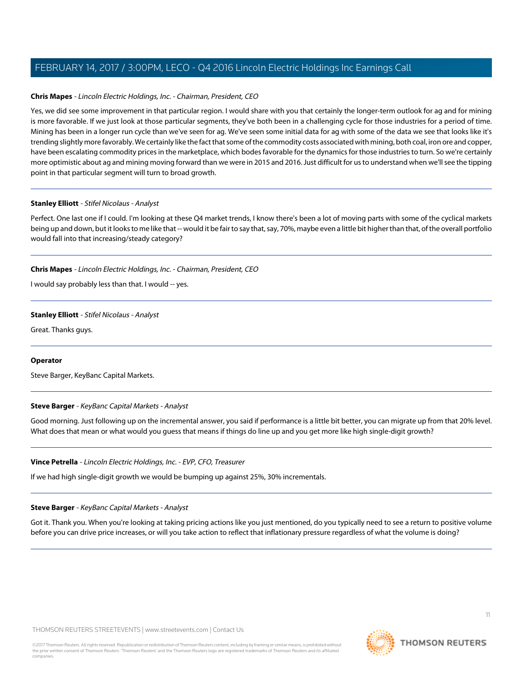### **Chris Mapes** - Lincoln Electric Holdings, Inc. - Chairman, President, CEO

Yes, we did see some improvement in that particular region. I would share with you that certainly the longer-term outlook for ag and for mining is more favorable. If we just look at those particular segments, they've both been in a challenging cycle for those industries for a period of time. Mining has been in a longer run cycle than we've seen for ag. We've seen some initial data for ag with some of the data we see that looks like it's trending slightly more favorably. We certainly like the fact that some of the commodity costs associated with mining, both coal, iron ore and copper, have been escalating commodity prices in the marketplace, which bodes favorable for the dynamics for those industries to turn. So we're certainly more optimistic about ag and mining moving forward than we were in 2015 and 2016. Just difficult for us to understand when we'll see the tipping point in that particular segment will turn to broad growth.

### **Stanley Elliott** - Stifel Nicolaus - Analyst

Perfect. One last one if I could. I'm looking at these Q4 market trends, I know there's been a lot of moving parts with some of the cyclical markets being up and down, but it looks to me like that -- would it be fair to say that, say, 70%, maybe even a little bit higher than that, of the overall portfolio would fall into that increasing/steady category?

### **Chris Mapes** - Lincoln Electric Holdings, Inc. - Chairman, President, CEO

I would say probably less than that. I would -- yes.

### **Stanley Elliott** - Stifel Nicolaus - Analyst

Great. Thanks guys.

### <span id="page-10-0"></span>**Operator**

Steve Barger, KeyBanc Capital Markets.

### **Steve Barger** - KeyBanc Capital Markets - Analyst

Good morning. Just following up on the incremental answer, you said if performance is a little bit better, you can migrate up from that 20% level. What does that mean or what would you guess that means if things do line up and you get more like high single-digit growth?

### **Vince Petrella** - Lincoln Electric Holdings, Inc. - EVP, CFO, Treasurer

If we had high single-digit growth we would be bumping up against 25%, 30% incrementals.

### **Steve Barger** - KeyBanc Capital Markets - Analyst

Got it. Thank you. When you're looking at taking pricing actions like you just mentioned, do you typically need to see a return to positive volume before you can drive price increases, or will you take action to reflect that inflationary pressure regardless of what the volume is doing?

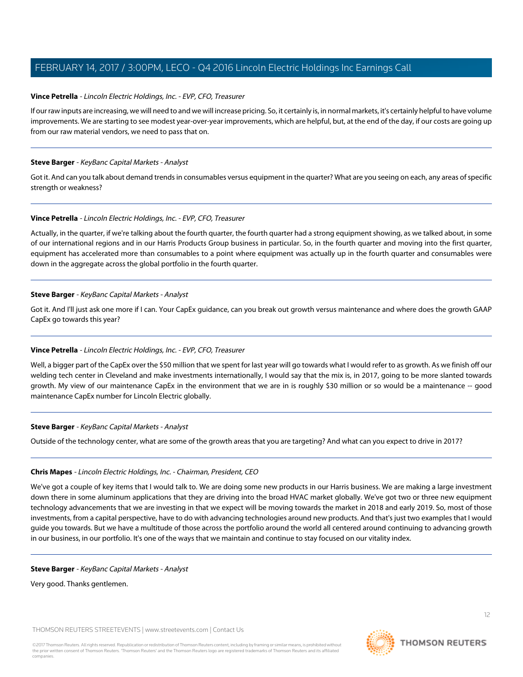### **Vince Petrella** - Lincoln Electric Holdings, Inc. - EVP, CFO, Treasurer

If our raw inputs are increasing, we will need to and we will increase pricing. So, it certainly is, in normal markets, it's certainly helpful to have volume improvements. We are starting to see modest year-over-year improvements, which are helpful, but, at the end of the day, if our costs are going up from our raw material vendors, we need to pass that on.

### **Steve Barger** - KeyBanc Capital Markets - Analyst

Got it. And can you talk about demand trends in consumables versus equipment in the quarter? What are you seeing on each, any areas of specific strength or weakness?

### **Vince Petrella** - Lincoln Electric Holdings, Inc. - EVP, CFO, Treasurer

Actually, in the quarter, if we're talking about the fourth quarter, the fourth quarter had a strong equipment showing, as we talked about, in some of our international regions and in our Harris Products Group business in particular. So, in the fourth quarter and moving into the first quarter, equipment has accelerated more than consumables to a point where equipment was actually up in the fourth quarter and consumables were down in the aggregate across the global portfolio in the fourth quarter.

### **Steve Barger** - KeyBanc Capital Markets - Analyst

Got it. And I'll just ask one more if I can. Your CapEx guidance, can you break out growth versus maintenance and where does the growth GAAP CapEx go towards this year?

### **Vince Petrella** - Lincoln Electric Holdings, Inc. - EVP, CFO, Treasurer

Well, a bigger part of the CapEx over the \$50 million that we spent for last year will go towards what I would refer to as growth. As we finish off our welding tech center in Cleveland and make investments internationally, I would say that the mix is, in 2017, going to be more slanted towards growth. My view of our maintenance CapEx in the environment that we are in is roughly \$30 million or so would be a maintenance -- good maintenance CapEx number for Lincoln Electric globally.

### **Steve Barger** - KeyBanc Capital Markets - Analyst

Outside of the technology center, what are some of the growth areas that you are targeting? And what can you expect to drive in 2017?

### **Chris Mapes** - Lincoln Electric Holdings, Inc. - Chairman, President, CEO

We've got a couple of key items that I would talk to. We are doing some new products in our Harris business. We are making a large investment down there in some aluminum applications that they are driving into the broad HVAC market globally. We've got two or three new equipment technology advancements that we are investing in that we expect will be moving towards the market in 2018 and early 2019. So, most of those investments, from a capital perspective, have to do with advancing technologies around new products. And that's just two examples that I would guide you towards. But we have a multitude of those across the portfolio around the world all centered around continuing to advancing growth in our business, in our portfolio. It's one of the ways that we maintain and continue to stay focused on our vitality index.

### **Steve Barger** - KeyBanc Capital Markets - Analyst

Very good. Thanks gentlemen.

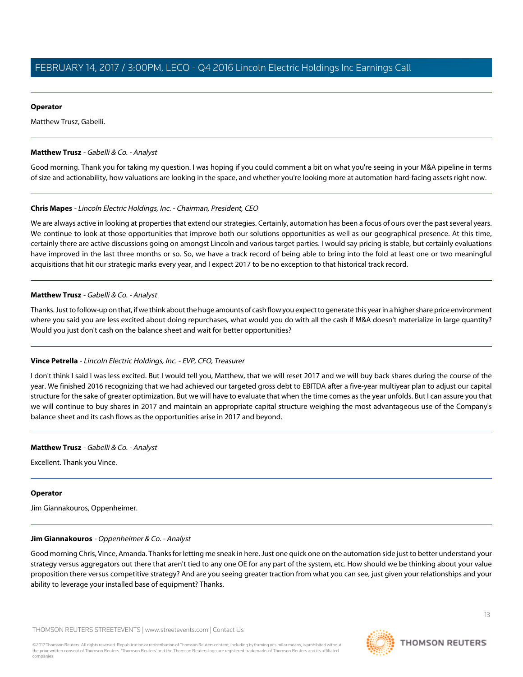### **Operator**

<span id="page-12-0"></span>Matthew Trusz, Gabelli.

### **Matthew Trusz** - Gabelli & Co. - Analyst

Good morning. Thank you for taking my question. I was hoping if you could comment a bit on what you're seeing in your M&A pipeline in terms of size and actionability, how valuations are looking in the space, and whether you're looking more at automation hard-facing assets right now.

### **Chris Mapes** - Lincoln Electric Holdings, Inc. - Chairman, President, CEO

We are always active in looking at properties that extend our strategies. Certainly, automation has been a focus of ours over the past several years. We continue to look at those opportunities that improve both our solutions opportunities as well as our geographical presence. At this time, certainly there are active discussions going on amongst Lincoln and various target parties. I would say pricing is stable, but certainly evaluations have improved in the last three months or so. So, we have a track record of being able to bring into the fold at least one or two meaningful acquisitions that hit our strategic marks every year, and I expect 2017 to be no exception to that historical track record.

### **Matthew Trusz** - Gabelli & Co. - Analyst

Thanks. Just to follow-up on that, if we think about the huge amounts of cash flow you expect to generate this year in a higher share price environment where you said you are less excited about doing repurchases, what would you do with all the cash if M&A doesn't materialize in large quantity? Would you just don't cash on the balance sheet and wait for better opportunities?

### **Vince Petrella** - Lincoln Electric Holdings, Inc. - EVP, CFO, Treasurer

I don't think I said I was less excited. But I would tell you, Matthew, that we will reset 2017 and we will buy back shares during the course of the year. We finished 2016 recognizing that we had achieved our targeted gross debt to EBITDA after a five-year multiyear plan to adjust our capital structure for the sake of greater optimization. But we will have to evaluate that when the time comes as the year unfolds. But I can assure you that we will continue to buy shares in 2017 and maintain an appropriate capital structure weighing the most advantageous use of the Company's balance sheet and its cash flows as the opportunities arise in 2017 and beyond.

### **Matthew Trusz** - Gabelli & Co. - Analyst

Excellent. Thank you Vince.

### <span id="page-12-1"></span>**Operator**

Jim Giannakouros, Oppenheimer.

### **Jim Giannakouros** - Oppenheimer & Co. - Analyst

Good morning Chris, Vince, Amanda. Thanks for letting me sneak in here. Just one quick one on the automation side just to better understand your strategy versus aggregators out there that aren't tied to any one OE for any part of the system, etc. How should we be thinking about your value proposition there versus competitive strategy? And are you seeing greater traction from what you can see, just given your relationships and your ability to leverage your installed base of equipment? Thanks.

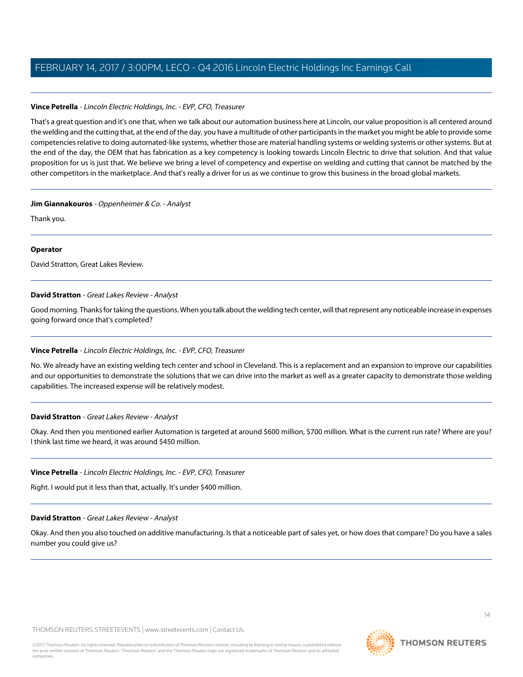### **Vince Petrella** - Lincoln Electric Holdings, Inc. - EVP, CFO, Treasurer

That's a great question and it's one that, when we talk about our automation business here at Lincoln, our value proposition is all centered around the welding and the cutting that, at the end of the day, you have a multitude of other participants in the market you might be able to provide some competencies relative to doing automated-like systems, whether those are material handling systems or welding systems or other systems. But at the end of the day, the OEM that has fabrication as a key competency is looking towards Lincoln Electric to drive that solution. And that value proposition for us is just that. We believe we bring a level of competency and expertise on welding and cutting that cannot be matched by the other competitors in the marketplace. And that's really a driver for us as we continue to grow this business in the broad global markets.

### **Jim Giannakouros** - Oppenheimer & Co. - Analyst

Thank you.

### **Operator**

<span id="page-13-0"></span>David Stratton, Great Lakes Review.

### **David Stratton** - Great Lakes Review - Analyst

Good morning. Thanks for taking the questions. When you talk about the welding tech center, will that represent any noticeable increase in expenses going forward once that's completed?

### **Vince Petrella** - Lincoln Electric Holdings, Inc. - EVP, CFO, Treasurer

No. We already have an existing welding tech center and school in Cleveland. This is a replacement and an expansion to improve our capabilities and our opportunities to demonstrate the solutions that we can drive into the market as well as a greater capacity to demonstrate those welding capabilities. The increased expense will be relatively modest.

### **David Stratton** - Great Lakes Review - Analyst

Okay. And then you mentioned earlier Automation is targeted at around \$600 million, \$700 million. What is the current run rate? Where are you? I think last time we heard, it was around \$450 million.

### **Vince Petrella** - Lincoln Electric Holdings, Inc. - EVP, CFO, Treasurer

Right. I would put it less than that, actually. It's under \$400 million.

### **David Stratton** - Great Lakes Review - Analyst

Okay. And then you also touched on additive manufacturing. Is that a noticeable part of sales yet, or how does that compare? Do you have a sales number you could give us?

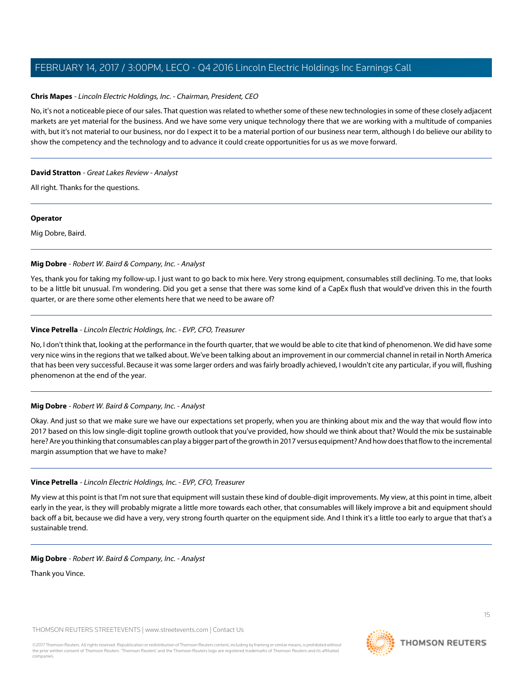### **Chris Mapes** - Lincoln Electric Holdings, Inc. - Chairman, President, CEO

No, it's not a noticeable piece of our sales. That question was related to whether some of these new technologies in some of these closely adjacent markets are yet material for the business. And we have some very unique technology there that we are working with a multitude of companies with, but it's not material to our business, nor do I expect it to be a material portion of our business near term, although I do believe our ability to show the competency and the technology and to advance it could create opportunities for us as we move forward.

### **David Stratton** - Great Lakes Review - Analyst

All right. Thanks for the questions.

### **Operator**

Mig Dobre, Baird.

### **Mig Dobre** - Robert W. Baird & Company, Inc. - Analyst

Yes, thank you for taking my follow-up. I just want to go back to mix here. Very strong equipment, consumables still declining. To me, that looks to be a little bit unusual. I'm wondering. Did you get a sense that there was some kind of a CapEx flush that would've driven this in the fourth quarter, or are there some other elements here that we need to be aware of?

### **Vince Petrella** - Lincoln Electric Holdings, Inc. - EVP, CFO, Treasurer

No, I don't think that, looking at the performance in the fourth quarter, that we would be able to cite that kind of phenomenon. We did have some very nice wins in the regions that we talked about. We've been talking about an improvement in our commercial channel in retail in North America that has been very successful. Because it was some larger orders and was fairly broadly achieved, I wouldn't cite any particular, if you will, flushing phenomenon at the end of the year.

### **Mig Dobre** - Robert W. Baird & Company, Inc. - Analyst

Okay. And just so that we make sure we have our expectations set properly, when you are thinking about mix and the way that would flow into 2017 based on this low single-digit topline growth outlook that you've provided, how should we think about that? Would the mix be sustainable here? Are you thinking that consumables can play a bigger part of the growth in 2017 versus equipment? And how does that flow to the incremental margin assumption that we have to make?

### **Vince Petrella** - Lincoln Electric Holdings, Inc. - EVP, CFO, Treasurer

My view at this point is that I'm not sure that equipment will sustain these kind of double-digit improvements. My view, at this point in time, albeit early in the year, is they will probably migrate a little more towards each other, that consumables will likely improve a bit and equipment should back off a bit, because we did have a very, very strong fourth quarter on the equipment side. And I think it's a little too early to argue that that's a sustainable trend.

### **Mig Dobre** - Robert W. Baird & Company, Inc. - Analyst

Thank you Vince.